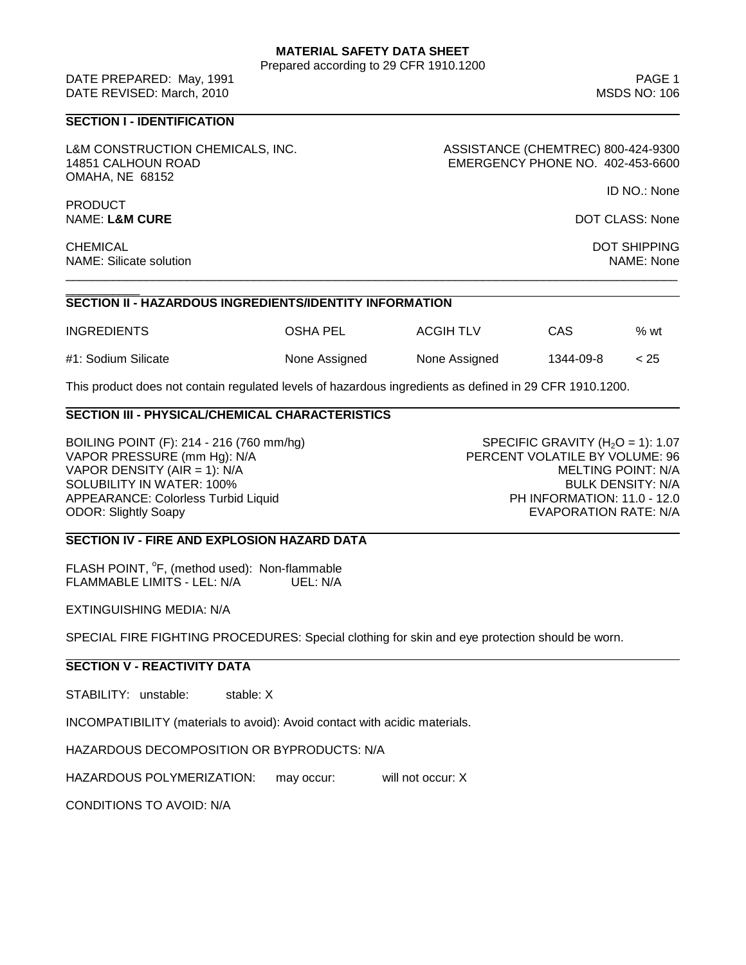### **MATERIAL SAFETY DATA SHEET**

Prepared according to 29 CFR 1910.1200

ID NO.: None

DATE PREPARED: May, 1991 PAGE 1 DATE REVISED: March, 2010 MSDS NO: 106

# **SECTION I - IDENTIFICATION**

L&M CONSTRUCTION CHEMICALS, INC. ASSISTANCE (CHEMTREC) 800-424-9300 OMAHA, NE 68152

14851 CALHOUN ROAD EMERGENCY PHONE NO. 402-453-6600

PRODUCT NAME: L&M CURE **DOT CLASS: None** 

CHEMICAL DOT SHIPPING NAME: Silicate solution Name of the Second State School and Second State School and Second State School and NAME: None

\_\_\_\_\_\_\_\_\_\_\_ **SECTION II - HAZARDOUS INGREDIENTS/IDENTITY INFORMATION**

| <b>INGREDIENTS</b>  | OSHA PEL      | ACGIH TLV     | CAS       | $%$ wt |
|---------------------|---------------|---------------|-----------|--------|
| #1: Sodium Silicate | None Assigned | None Assigned | 1344-09-8 | < 25   |

\_\_\_\_\_\_\_\_\_\_\_\_\_\_\_\_\_\_\_\_\_\_\_\_\_\_\_\_\_\_\_\_\_\_\_\_\_\_\_\_\_\_\_\_\_\_\_\_\_\_\_\_\_\_\_\_\_\_\_\_\_\_\_\_\_\_\_\_\_\_\_\_\_\_\_\_\_\_\_\_\_\_\_\_\_\_\_\_\_\_\_

This product does not contain regulated levels of hazardous ingredients as defined in 29 CFR 1910.1200.

### **SECTION III - PHYSICAL/CHEMICAL CHARACTERISTICS**

BOILING POINT (F): 214 - 216 (760 mm/hg) SPECIFIC GRAVITY (H<sub>2</sub>O = 1): 1.07<br>VAPOR PRESSURE (mm Hq): N/A VAPOR DENSITY (AIR = 1): N/A MELTING POINT: N/A SOLUBILITY IN WATER: 100% And the state of the state of the state of the state of the BULK DENSITY: N/A APPEARANCE: Colorless Turbid Liquid **PH INFORMATION: 11.0 - 12.0** ODOR: Slightly Soapy EVAPORATION RATE: N/A

PERCENT VOLATILE BY VOLUME: 96

#### **SECTION IV - FIRE AND EXPLOSION HAZARD DATA**

FLASH POINT, <sup>o</sup>F, (method used): Non-flammable FLAMMABLE LIMITS - LEL: N/A UEL: N/A

EXTINGUISHING MEDIA: N/A

SPECIAL FIRE FIGHTING PROCEDURES: Special clothing for skin and eye protection should be worn.

### **SECTION V - REACTIVITY DATA**

STABILITY: unstable: stable: X

INCOMPATIBILITY (materials to avoid): Avoid contact with acidic materials.

HAZARDOUS DECOMPOSITION OR BYPRODUCTS: N/A

HAZARDOUS POLYMERIZATION: may occur: will not occur: X

CONDITIONS TO AVOID: N/A